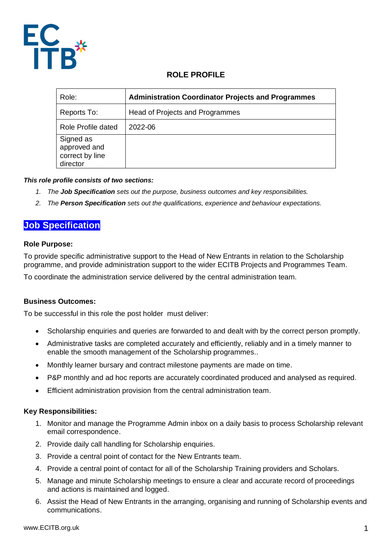

## **ROLE PROFILE**

| Role:                                                    | <b>Administration Coordinator Projects and Programmes</b> |
|----------------------------------------------------------|-----------------------------------------------------------|
| Reports To:                                              | Head of Projects and Programmes                           |
| Role Profile dated                                       | 2022-06                                                   |
| Signed as<br>approved and<br>correct by line<br>director |                                                           |

## *This role profile consists of two sections:*

- *1. The Job Specification sets out the purpose, business outcomes and key responsibilities.*
- *2. The Person Specification sets out the qualifications, experience and behaviour expectations.*

# **Job Specification**

#### **Role Purpose:**

To provide specific administrative support to the Head of New Entrants in relation to the Scholarship programme, and provide administration support to the wider ECITB Projects and Programmes Team.

To coordinate the administration service delivered by the central administration team.

## **Business Outcomes:**

To be successful in this role the post holder must deliver:

- Scholarship enquiries and queries are forwarded to and dealt with by the correct person promptly.
- Administrative tasks are completed accurately and efficiently, reliably and in a timely manner to enable the smooth management of the Scholarship programmes..
- Monthly learner bursary and contract milestone payments are made on time.
- P&P monthly and ad hoc reports are accurately coordinated produced and analysed as required.
- Efficient administration provision from the central administration team.

## **Key Responsibilities:**

- 1. Monitor and manage the Programme Admin inbox on a daily basis to process Scholarship relevant email correspondence.
- 2. Provide daily call handling for Scholarship enquiries.
- 3. Provide a central point of contact for the New Entrants team.
- 4. Provide a central point of contact for all of the Scholarship Training providers and Scholars.
- 5. Manage and minute Scholarship meetings to ensure a clear and accurate record of proceedings and actions is maintained and logged.
- 6. Assist the Head of New Entrants in the arranging, organising and running of Scholarship events and communications.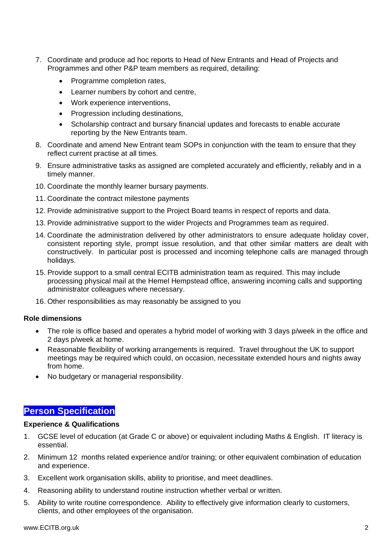- 7. Coordinate and produce ad hoc reports to Head of New Entrants and Head of Projects and Programmes and other P&P team members as required, detailing:
	- Programme completion rates,
	- Learner numbers by cohort and centre,
	- Work experience interventions,
	- Progression including destinations,
	- Scholarship contract and bursary financial updates and forecasts to enable accurate reporting by the New Entrants team.
- 8. Coordinate and amend New Entrant team SOPs in conjunction with the team to ensure that they reflect current practise at all times.
- 9. Ensure administrative tasks as assigned are completed accurately and efficiently, reliably and in a timely manner.
- 10. Coordinate the monthly learner bursary payments.
- 11. Coordinate the contract milestone payments
- 12. Provide administrative support to the Project Board teams in respect of reports and data.
- 13. Provide administrative support to the wider Projects and Programmes team as required.
- 14. Coordinate the administration delivered by other administrators to ensure adequate holiday cover, consistent reporting style, prompt issue resolution, and that other similar matters are dealt with constructively. In particular post is processed and incoming telephone calls are managed through holidays.
- 15. Provide support to a small central ECITB administration team as required. This may include processing physical mail at the Hemel Hempstead office, answering incoming calls and supporting administrator colleagues where necessary.
- 16. Other responsibilities as may reasonably be assigned to you

## **Role dimensions**

- The role is office based and operates a hybrid model of working with 3 days p/week in the office and 2 days p/week at home.
- Reasonable flexibility of working arrangements is required. Travel throughout the UK to support meetings may be required which could, on occasion, necessitate extended hours and nights away from home.
- No budgetary or managerial responsibility.

## **Person Specification**

#### **Experience & Qualifications**

- 1. GCSE level of education (at Grade C or above) or equivalent including Maths & English. IT literacy is essential.
- 2. Minimum 12 months related experience and/or training; or other equivalent combination of education and experience.
- 3. Excellent work organisation skills, ability to prioritise, and meet deadlines.
- 4. Reasoning ability to understand routine instruction whether verbal or written.
- 5. Ability to write routine correspondence. Ability to effectively give information clearly to customers, clients, and other employees of the organisation.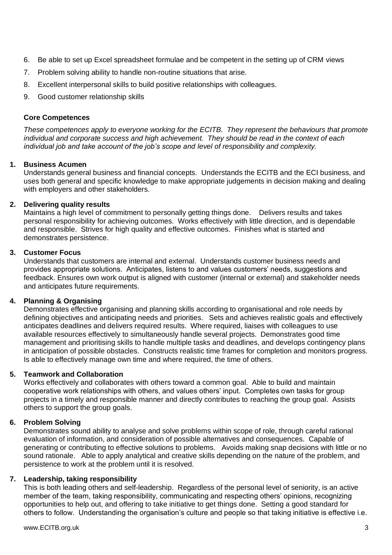- 6. Be able to set up Excel spreadsheet formulae and be competent in the setting up of CRM views
- 7. Problem solving ability to handle non-routine situations that arise.
- 8. Excellent interpersonal skills to build positive relationships with colleagues.
- 9. Good customer relationship skills

#### **Core Competences**

*These competences apply to everyone working for the ECITB. They represent the behaviours that promote individual and corporate success and high achievement. They should be read in the context of each individual job and take account of the job's scope and level of responsibility and complexity.* 

#### **1. Business Acumen**

Understands general business and financial concepts. Understands the ECITB and the ECI business, and uses both general and specific knowledge to make appropriate judgements in decision making and dealing with employers and other stakeholders.

#### **2. Delivering quality results**

Maintains a high level of commitment to personally getting things done. Delivers results and takes personal responsibility for achieving outcomes. Works effectively with little direction, and is dependable and responsible. Strives for high quality and effective outcomes. Finishes what is started and demonstrates persistence.

#### **3. Customer Focus**

Understands that customers are internal and external. Understands customer business needs and provides appropriate solutions. Anticipates, listens to and values customers' needs, suggestions and feedback. Ensures own work output is aligned with customer (internal or external) and stakeholder needs and anticipates future requirements.

## **4. Planning & Organising**

Demonstrates effective organising and planning skills according to organisational and role needs by defining objectives and anticipating needs and priorities. Sets and achieves realistic goals and effectively anticipates deadlines and delivers required results. Where required, liaises with colleagues to use available resources effectively to simultaneously handle several projects. Demonstrates good time management and prioritising skills to handle multiple tasks and deadlines, and develops contingency plans in anticipation of possible obstacles. Constructs realistic time frames for completion and monitors progress. Is able to effectively manage own time and where required, the time of others.

## **5. Teamwork and Collaboration**

Works effectively and collaborates with others toward a common goal. Able to build and maintain cooperative work relationships with others, and values others' input. Completes own tasks for group projects in a timely and responsible manner and directly contributes to reaching the group goal. Assists others to support the group goals.

## **6. Problem Solving**

Demonstrates sound ability to analyse and solve problems within scope of role, through careful rational evaluation of information, and consideration of possible alternatives and consequences. Capable of generating or contributing to effective solutions to problems. Avoids making snap decisions with little or no sound rationale. Able to apply analytical and creative skills depending on the nature of the problem, and persistence to work at the problem until it is resolved.

## **7. Leadership, taking responsibility**

This is both leading others and self-leadership. Regardless of the personal level of seniority, is an active member of the team, taking responsibility, communicating and respecting others' opinions, recognizing opportunities to help out, and offering to take initiative to get things done. Setting a good standard for others to follow. Understanding the organisation's culture and people so that taking initiative is effective i.e.